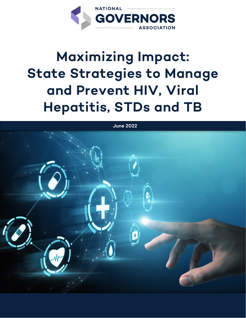

# **Maximizing Impact: State Strategies to Manage and Prevent HIV, Viral Hepatitis, STDs and TB**

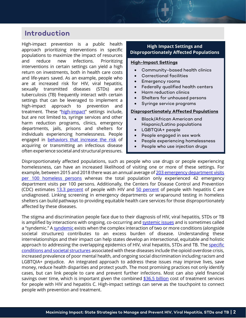# **Introduction**

High-impact prevention is a public health approach prioritizing interventions in specific populations to maximize the impact of resources and reduce new infections. Prioritizing interventions in certain settings can yield a high return on investments, both in health care costs and life-years saved. As an example, people who are at increased risk for HIV, viral hepatitis, sexually transmitted diseases (STDs) and tuberculosis (TB) frequently interact with certain settings that can be leveraged to implement a high-impact approach to prevention and treatment. These ["high-impact"](https://www.cdc.gov/nchhstp/highimpactprevention/index.html) settings include, but are not limited to, syringe services and other harm reduction programs, clinics, emergency departments, jails, prisons and shelters for individuals experiencing homelessness. People engaged in **behaviors** [that increase the risk](https://www.hiv.gov/hiv-basics/overview/about-hiv-and-aids/who-is-at-risk-for-hiv) of acquiring or transmitting an infectious disease often experience societal and structural pressures.

### **High Impact Settings and Disproportionately Affected Populations**

#### **High-Impact Settings**

- Community-based health clinics
- Correctional facilities
- Emergency rooms
- Federally qualified health centers
- Harm reduction clinics
- Shelters for unhoused persons
- Syringe service programs

#### **[Disproportionately Affected Populations](https://www.cdc.gov/hiv/statistics/overview/ataglance.html#:%7E:text=Black%2FAfrican%20Americanj%20and,and%2013%25%20of%20the%20population.&text=Hispanic%2FLatino%20people%20accounted%20for,and%2018%25%20of%20the%20population.)**

- Black/African American and Hispanic/Latino populations
- LGBTQIA+ people
- People engaged in sex work
- People experiencing homelessness
- People who use injection drugs

Disproportionately affected populations, such as people who use drugs or people experiencing homelessness, can have an increased likelihood of visiting one or more of these settings. For example, between 2015 and 2018 there was an annual average of 203 emergency department visits [per 100 homeless persons](https://www.cdc.gov/mmwr/volumes/69/wr/mm6950a8.htm#:%7E:text=During%202015%E2%80%932018%2C%20there%20were,the%20rate%20for%20nonhomeless%20persons.) whereas the total population only experienced 42 emergency department visits per 100 persons. Additionally, the Centers for Disease Control and Prevention (CDC) estimates [13.3 percent](https://www.cdc.gov/hiv/statistics/overview/index.html) of people with HIV and [50 percent](https://www.cdc.gov/media/releases/2016/p0504-hepc-mortality.html) of people with hepatitis C are undiagnosed. Linking screening in emergency departments or wraparound testing in homeless shelters can build pathways to providing equitable health care services for those disproportionately affected by these diseases.

The stigma and discrimination people face due to their diagnosis of HIV, viral hepatitis, STDs or TB is amplified by interactions with ongoing, co-occurring an[d systemic issues](https://www.healthaffairs.org/do/10.1377/forefront.20210407.8040/full/) and is sometimes called a "syndemic." A [syndemic](https://www.ncbi.nlm.nih.gov/pmc/articles/PMC6613368/) exists when the complex interaction of two or more conditions (alongside societal structures) contributes to an excess burden of disease. Understanding these interrelationships and their impact can help states develop an intersectional, equitable and holistic approach to addressing the overlapping epidemics of HIV, viral hepatitis, STDs and TB. The [specific](https://www.ncbi.nlm.nih.gov/pmc/articles/PMC7539237/) [conditions and societal](https://www.ncbi.nlm.nih.gov/pmc/articles/PMC7539237/) structures associated with these diseases include the opioid overdose crisis, increased prevalence of poor mental health, and ongoing social discrimination including racism and LGBTQIA+ prejudice. An integrated approach to address these issues may improve lives, save money, reduce health disparities and protect youth. The most promising practices not only identify cases, but can link people to care and prevent further infections. Most can also yield financial savings over time, which is important given the combined  $$36.5$  billion cost of treatment services for people with HIV and hepatitis C. High-impact settings can serve as the touchpoint to connect people with prevention and treatment.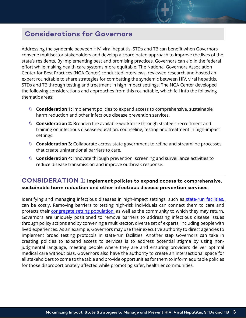# **Considerations for Governors**

Addressing the syndemic between HIV, viral hepatitis, STDs and TB can benefit when Governors convene multisector stakeholders and develop a coordinated approach to improve the lives of the state's residents. By implementing best and promising practices, Governors can aid in the federal effort while making health care systems more equitable. The National Governors Association Center for Best Practices (NGA Center) conducted interviews, reviewed research and hosted an expert roundtable to share strategies for combatting the syndemic between HIV, viral hepatitis, STDs and TB through testing and treatment in high impact settings. The NGA Center developed the following considerations and approaches from this roundtable, which fell into the following thematic areas:

- **Consideration 1:** Implement policies to expand access to comprehensive, sustainable harm reduction and other infectious disease prevention services.
- **Consideration 2:** Broaden the available workforce through strategic recruitment and training on infectious disease education, counseling, testing and treatment in high-impact settings.
- **Consideration 3:** Collaborate across state government to refine and streamline processes that create unintentional barriers to care.
- **Consideration 4:** Innovate through prevention, screening and surveillance activities to reduce disease transmission and improve outbreak response.

# **CONSIDERATION 1: Implement policies to expand access to comprehensive, sustainable harm reduction and other infectious disease prevention services.**

Identifying and managing infectious diseases in high-impact settings, such as [state-run facilities,](https://www.pewtrusts.org/en/research-and-analysis/reports/2018/07/19/state-prisons-and-the-delivery-of-hospital-care)  can be costly. Removing barriers to testing high-risk individuals can connect them to care and protects their [congregate setting population,](https://ciswh.org/wp-content/uploads/2017/11/DEII-Jails-factsheet-Summary.pdf) as well as the community to which they may return. Governors are uniquely positioned to remove barriers to addressing infectious disease issues through policy actions and by convening a multi-sector, diverse set of experts, including people with lived experiences. As an example, Governors may use their executive authority to direct agencies to implement broad testing protocols in state-run facilities. Another step Governors can take in creating policies to expand access to services is to address potential stigma by using nonjudgmental language, meeting people where they are and ensuring providers deliver optimal medical care without bias. Governors also have the authority to create an intersectional space for all stakeholders to come to the table and provide opportunities for them to inform equitable policies for those disproportionately affected while promoting safer, healthier communities.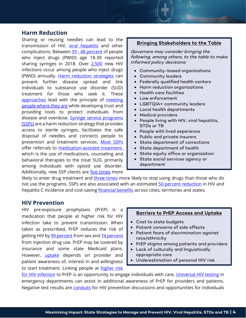## **Harm Reduction**

Sharing or reusing needles can lead to the transmission of HIV, [viral hepatitis](https://www.cdc.gov/ssp/syringe-services-programs-factsheet.html) and other complications. Between 39 - 48 [percent](https://www.cdc.gov/hiv/group/hiv-idu.html) of people who inject drugs (PWID) age 18-39 reported sharing syringes in 2018. Over [2,500](https://www.cdc.gov/ssp/syringe-services-programs-factsheet.html) new HIV infections occur among people who inject drugs (PWID) annually. [Harm reduction strategies](https://www.recoveryanswers.org/resource/drug-and-alcohol-harm-reduction/) can prevent further disease spread and link individuals to substance use disorder (SUD) treatment for those who seek it. These [approaches](https://harmreduction.org/about-us/principles-of-harm-reduction/) lead with the principle of [meeting](https://languagescience.umd.edu/beyond-umd/language-science-everyone/meet-them-where-they-are)  [people where they are](https://languagescience.umd.edu/beyond-umd/language-science-everyone/meet-them-where-they-are) while developing trust and providing tools to protect individuals from disease and overdose. Syringe service programs [\(SSPs\)](https://www.cdc.gov/ssp/syringe-services-programs-faq.html) are a harm reduction strategy that provides access to sterile syringes, facilitates the safe disposal of needles and connects people to prevention and treatment services. [Most](https://www.cdc.gov/ssp/syringe-services-programs-factsheet.html#:%7E:text=The%20majority%20of%20SSPs%20offer,don) SSPs offer referrals to [medication-assisted treatment,](https://www.samhsa.gov/medication-assisted-treatment) which is the use of medications, counseling and behavioral therapies to the treat SUD, primarily among individuals with opioid use disorder. Additionally, new SSP clients are *five times* more

#### **Bringing Stakeholders to the Table**

Governors may consider bringing the following, among others, to the table to make informed policy decisions:

- Community-based organizations
- Community leaders
- Federally qualified health centers
- Harm reduction organizations
- Health care facilities
- Law enforcement
- LGBTQIA+ community leaders
- Local health departments
- Medical providers
- People living with HIV, viral hepatitis, STDs or TB
- People with lived experience
- Public and private insurers
- State department of corrections
- State department of health
- State equity office or organization
- State social services agency or department

likely to enter drug treatment and [three times](https://www.cdc.gov/ssp/syringe-services-programs-factsheet.html#:%7E:text=The%20majority%20of%20SSPs%20offer,don) more likely to stop using drugs than those who do not use the programs. SSPs are also associated with an estimated 50 percent [reduction](https://www.cdc.gov/ssp/syringe-services-programs-factsheet.html) in HIV and hepatitis C incidence and cost-saving *financial benefits* across cities, territories and states.

#### **HIV Prevention**

HIV pre-exposure prophylaxis (PrEP) is a medication that people at higher risk for HIV infection take to prevent transmission. When taken as prescribed, PrEP reduces the risk of getting HIV b[y 99 percent](https://www.cdc.gov/hiv/risk/prep/index.html#:%7E:text=PrEP%20is%20highly%20effective%20for,use%20by%20at%20least%2074%25.) from sex an[d 74 percent](https://www.cdc.gov/hiv/risk/prep/index.html#:%7E:text=PrEP%20is%20highly%20effective%20for,use%20by%20at%20least%2074%25.) from injection drug use. PrEP may be covered by insurance and some state Medicaid plans. However, **[uptake](https://pubmed.ncbi.nlm.nih.gov/32105164/)** depends on provider and patient awareness of, interest in and willingness to start treatment. Linking people at [higher](https://www.hiv.gov/hiv-basics/overview/about-hiv-and-aids/who-is-at-risk-for-hiv) risk

#### **[Barriers to PrEP Access and Uptake](https://www.ncbi.nlm.nih.gov/pmc/articles/PMC8451756/)**

- Cost to state budgets
- Patient concerns of side effects
- Patient fears of discrimination against race/ethnicity
- PrEP stigma among patients and providers
- Lack of culturally and linguistically appropriate care
- Underestimation of personal HIV risk

[for HIV infection](https://www.hiv.gov/hiv-basics/overview/about-hiv-and-aids/who-is-at-risk-for-hiv) to PrEP is an opportunity to engage individuals with care. [Universal HIV testing](https://pubmed.ncbi.nlm.nih.gov/16988643/) in emergency departments can assist in additional awareness of PrEP for providers and patients. Negative test results are [conduits](https://www.ncbi.nlm.nih.gov/pmc/articles/PMC7812459/) for HIV prevention discussions and opportunities for individuals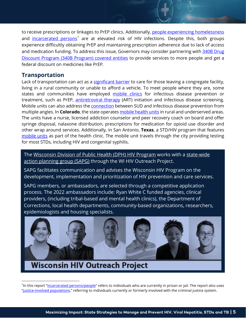to receive prescriptions or linkages to PrEP clinics. Additionally, [people experiencing homelessness](https://endhomelessness.org/homelessness-in-america/what-causes-homelessness/health/) and [incarcerated persons](https://www.healthaffairs.org/do/10.1377/forefront.20210524.22962/)<sup>[\\*](#page-4-0)</sup> are at elevated risk of HIV infections. Despite this, both groups experience difficultly obtaining PrEP and maintaining prescription adherence due to lack of access and medication funding. To address this issue, Governors may consider partnering with 340B Drug [Discount Program \(340B Program\) covered entities](https://www.nga.org/wp-content/uploads/2018/08/Public-Health-Crises-and-Pharmaceutical-Interventions.pdf) to provide services to more people and get a federal discount on medicines like PrEP.

## **Transportation**

Lack of transportation can act as a [significant barrier](https://www.ruralhealthinfo.org/toolkits/hiv-aids/4/transportation) to care for those leaving a congregate facility, living in a rural community or unable to afford a vehicle. To meet people where they are, some states and communities have employed [mobile clinics](https://www.nih.gov/news-events/news-releases/nih-funded-study-tests-one-stop-mobile-clinics-deliver-hiv-substance-use-care) for infectious disease prevention or treatment, such as PrEP, [antiretroviral therapy](https://hivinfo.nih.gov/understanding-hiv/fact-sheets/hiv-treatment-basics) (ART) initiation and infectious disease screening. Mobile units can also address the **connection** between SUD and infectious disease prevention from multiple angles. In **Colorado**, the state operates [mobile health](https://cdhs.colorado.gov/mobile-health-services) units in rural and underserved areas. The units have a nurse, licensed addiction counselor and peer recovery coach on board and offer syringe disposal, nalaxone distribution, prescriptions for medication for opioid use disorder and other wrap around services. Additionally, in San Antonio, **Texas**, a STD/HIV program that features [mobile units](https://www.sanantonio.gov/health/healthservices/stdservices#104193164-mobile-clinic) as part of the health clinic. The mobile unit travels through the city providing testing for most STDs, including HIV and congenital syphilis.

The [Wisconsin Division of Public Health \(DPH\) HIV Program](https://www.dhs.wisconsin.gov/publications/p01582.pdf) works with a [state-wide](https://wihiv.wisc.edu/communityplanning.aspx)  [action planning group \(SAPG\)](https://wihiv.wisc.edu/communityplanning.aspx) through the WI HIV Outreach Project.

SAPG facilitates communication and advises the Wisconsin HIV Program on the development, implementation and prioritization of HIV prevention and care services.

SAPG members, or ambassadors, are selected through a competitive application process. The 2022 ambassadors include: Ryan White C funded agencies, clinical providers, (including tribal-based and mental health clinics), the Department of Corrections, local health departments, community-based organizations, researchers, epidemiologists and housing specialists.



# **Wisconsin HIV Outreach Project**

<span id="page-4-0"></span><sup>\*</sup>In this report ["incarcerated persons/people"](https://www.themarshallproject.org/2021/04/12/what-words-we-use-and-avoid-when-covering-people-and-incarceration) refers to individuals who are currently in prison or jail. The report also uses ["justice-involved populations,"](https://store.samhsa.gov/sites/default/files/d7/priv/sma19-5097.pdf) referring to individuals currently or formerly involved with the criminal justice system.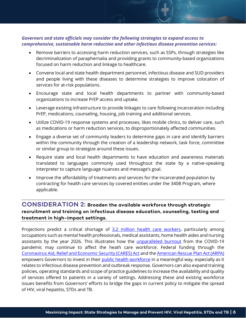#### *Governors and state officials may consider the following strategies to expand access to comprehensive, sustainable harm reduction and other infectious disease prevention services:*

- Remove barriers to accessing harm reduction services, such as SSPs, through strategies like decriminalization of paraphernalia and providing grants to community-based organizations focused on harm reduction and linkage to healthcare.
- Convene local and state health department personnel, infectious disease and SUD providers and people living with these diseases to determine strategies to improve colocation of services for at-risk populations.
- Encourage state and local health departments to partner with community-based organizations to increase PrEP access and uptake.
- Leverage existing infrastructure to provide linkages to care following incarceration including PrEP, medications, counseling, housing, job training and additional services.
- Utilize COVID-19 response systems and processes, likes mobile clinics, to deliver care, such as medications or harm reduction services, to disproportionately affected communities.
- Engage a diverse set of community leaders to determine gaps in care and identify barriers within the community through the creation of a leadership network, task force, committee or similar group to strategize around these issues.
- Require state and local health departments to have education and awareness materials translated to languages commonly used throughout the state by a native-speaking interpreter to capture language nuances and message's goal.
- Improve the affordability of treatments and services for the incarcerated population by contracting for health care services by covered entities under the 340B Program, where applicable.

# **CONSIDERATION 2: Broaden the available workforce through strategic recruitment and training on infectious disease education, counseling, testing and treatment in high-impact settings.**

Projections predict a critical shortage of [3.2 million health](https://www.mercer.us/content/dam/mercer/assets/content-images/north-america/united-states/us-healthcare-news/us-2021-healthcare-labor-market-whitepaper.pdf) care workers, particularly among occupations such as mental health professionals, medical assistants, home health aides and nursing assistants by the year 2026. This illustrates how the *[unparalleled burnout](https://www.beckershospitalreview.com/workforce/7-stats-that-show-healthcare-workforce-staffing-challenges.html)* from the COVID-19 pandemic may continue to affect the heath care workforce. Federal funding through the [Coronavirus Aid, Relief and Economic Security \(CARES\) Act](https://www.congress.gov/bill/116th-congress/house-bill/748/text) and the [American Rescue Plan Act \(ARPA\)](https://www.congress.gov/bill/117th-congress/house-bill/1319/text) empowers Governors to invest in their [public health workforce](https://www.whitehouse.gov/briefing-room/statements-releases/2021/05/13/fact-sheet-biden-harris-administration-to-invest-7-billion-from-american-rescue-plan-to-hire-and-train-public-health-workers-in-response-to-covid-19/) in a meaningful way, especially as it relates to infectious disease prevention and outbreak response. Governors can also expand training policies, operating standards and scope of practice guidelines to increase the availability and quality of services offered to patients in a variety of settings. Addressing these and existing workforce issues benefits from Governors' efforts to bridge the gaps in current policy to mitigate the spread of HIV, viral hepatitis, STDs and TB.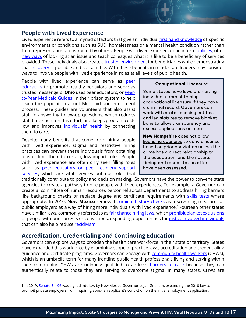# **People with Lived Experience**

Lived experience refers to a myriad of factors that give an individual first [hand knowledge](https://www.sprc.org/livedexperiencetoolkit/about#:%7E:text=What%20is%20Lived%20Experience%3F,representations%20constructed%20by%20other%20people.%E2%80%9D) of specific environments or conditions such as SUD, homelessness or a mental health condition rather than from representations constructed by others. People with lived experience can infor[m policies,](https://www.heartlandalliance.org/the-value-of-hiring-and-supporting-people-with-lived-expertise-of-homelessness/) offer [new ways](https://www.fulfillinglivesevaluation.org/wp-admin/admin-ajax.php?juwpfisadmin=false&action=wpfd&task=file.download&wpfd_category_id=324&wpfd_file_id=6821&token=6288a6dca46792694b319d9d9abf8b4a&preview=1) of looking at an issue and teach colleagues what it is like to be a beneficiary of services provided. These individuals also create [a trusted environment](https://www.researchgate.net/publication/332621693_Lived_Experience_as_Clinical_Assets_in_New_Models_of_Care_for_Substance_Use_Disorder_A_Systematic_Review_of_Recovery_Coaching_and_Peer_Recovery_Support_Services) for beneficiaries while demonstrating that [recovery](https://www.recoveryanswers.org/research-post/1-in-10-americans-report-having-resolved-a-significant-substance-use-problem/) is possible and sustainable. With these benefits in mind, state leaders may consider ways to involve people with lived experience in roles at all levels of public health.

People with lived experience can serve as peer [educators](https://bmcinfectdis.biomedcentral.com/articles/10.1186/s12879-020-05003-9) to promote healthy behaviors and serve as trusted messengers. **Ohio** uses peer educators, or [Peer](https://www.urban.org/sites/default/files/publication/88051/ohio_medicaid_1.pdf)[to-Peer Medicaid Guides,](https://www.urban.org/sites/default/files/publication/88051/ohio_medicaid_1.pdf) in their prison system to help teach the population about Medicaid and enrollment process. These guides are volunteers that also assist staff in answering follow-up questions, which reduces staff time spent on this effort, and keeps program costs low and improves [individuals' health](https://medicaid.ohio.gov/wps/wcm/connect/gov/0a2a2099-55f8-4d32-b6c2-653f12cfd18b/OMRES-Final-Report.pdf?MOD=AJPERES&CONVERT_TO=url&CACHEID=ROOTWORKSPACE.Z18_M1HGGIK0N0JO00QO9DDDDM3000-0a2a2099-55f8-4d32-b6c2-653f12cfd18b-nAUVHSW) by connecting them to care.

Despite many benefits that come from hiring people with lived experience, stigma and restrictive hiring practices can prevent these individuals from obtaining jobs or limit them to certain, low-impact roles. People with lived experience are often only seen filling roles such as [peer educators or peer recovery support](https://harmreductionjournal.biomedcentral.com/articles/10.1186/s12954-020-00453-5)  [services,](https://harmreductionjournal.biomedcentral.com/articles/10.1186/s12954-020-00453-5) which are vital services but not roles that

#### **Occupational Licensure**

Some states have laws prohibiting individuals from obtaining [occupational licensure](https://www.jff.org/what-we-do/impact-stories/reentry-careers/when-practice-isnt-enough-why-fair-chance-hiring-requires-policy-change/#:%7E:text=Fair%20chance%20hiring%2C%20which%20expands,sustainable%20employment%20is%20rarely%20easy.) if they have a criminal record. Governors can work with state licensing entities and legislatures to remove blanket bans to allow transparency and assess applications on merit.

**New Hampshire** does not allow [licensing agencies](https://law.justia.com/codes/new-hampshire/2016/title-xxx/chapter-332-g/section-332-g-10/) to deny a license based on prior conviction unless the crime has a direct relationship to the occupation, and the nature, timing and rehabilitation efforts have been assessed.

traditionally contribute to policy and decision making. Governors have the power to convene state agencies to create a pathway to hire people with lived experiences. For example, a Governor can create a committee of human resources personnel across departments to address hiring barriers like background checks or replace degree and certificate requirements with [skills tests](https://www.heartlandalliance.org/the-value-of-hiring-and-supporting-people-with-lived-expertise-of-homelessness/) where appropriate. In 2010, **New Mexico** removed *criminal history checks* as a screening measure for public employers as a way of hiring more individuals with lived experience.<sup>[†](#page-6-0)</sup> Fourteen other states have similar laws, commonly referred to a[s fair chance hiring laws,](https://www.nelp.org/publication/ban-the-box-fair-chance-hiring-state-and-local-guide/) whic[h prohibit blanket exclusions](https://s27147.pcdn.co/wp-content/uploads/Ban-the-Box-Fair-Chance-Fact-Sheet.pdf) of people with prior arrests or convictions, expanding opportunities for [justice-involved individuals](https://socialinnovation.usc.edu/wp-content/uploads/2021/01/Fair-Chance-Legislation-Impact-Literature-Review_-USC-X-LU.pdf) that can also help reduce [recidivism.](https://www.jff.org/what-we-do/impact-stories/reentry-careers/when-practice-isnt-enough-why-fair-chance-hiring-requires-policy-change/#:%7E:text=Fair%20chance%20hiring%2C%20which%20expands,sustainable%20employment%20is%20rarely%20easy.)

# **Accreditation, Credentialing and Continuing Education**

Governors can explore ways to broaden the health care workforce in their state or territory. States have expanded this workforce by examining scope of practice laws, accreditation and credentialing guidance and certificate programs. Governors can engage with **community health workers** (CHWs), which is an umbrella term for many frontline public health professionals living and serving within their community. CHWs are uniquely qualified to address **[barriers to care](https://mnchwalliance.org/role-of-chws-in-health-equity/#:%7E:text=Role%20of%20Community%20Health%20Workers%20in%20Health%20Equity&text=CHWs%20are%20a%20health%20equity%20workforce.&text=By%20addressing%20barriers%20to%20care,capable%20of%20improving%20health%20outcomes.)** because they can authentically relate to those they are serving to overcome stigma. In many states, CHWs are

<span id="page-6-0"></span><sup>†</sup> In 2019, [Senate Bill 96](https://nmlegis.gov/Legislation/Legislation?Chamber=S&LegType=B&LegNo=96&year=19) was signed into law by New Mexico Governor Lujan Grisham, expanding the 2010 law to prohibit private employers from inquiring about an applicant's conviction on the initial employment application.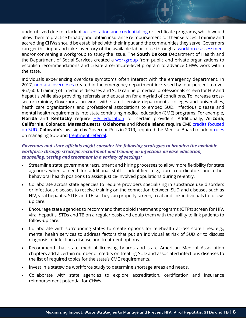underutilized due to a lack of [accreditation and credentialling](https://nachw.org/wp-content/uploads/2021/09/8.25.21StatewideTraining.pdf) or certificate programs, which would allow them to practice broadly and obtain insurance reimbursement for their services. Training and accrediting CHWs should be established with their input and the communities they serve. Governors can get this input and take inventory of the available labor force through a [workforce assessment](https://nachw.org/wp-content/uploads/2021/06/06.04Translation-SummaryAssessingCHWWorkforce.pdf) and/or convening a workgroup to study the issue. The **South Dakota** Department of Health and the Department of Social Services created a [workgroup](https://doh.sd.gov/documents/diseases/chronic/CHW_WorkgroupRecommendations.pdf) from public and private organizations to establish recommendations and create a certificate-level program to advance CHWs work within the state.

Individuals experiencing overdose symptoms often interact with the emergency department. In 2017, [nonfatal overdoses](https://www.cdc.gov/mmwr/volumes/69/wr/mm6913a3.htm) treated in the emergency department increased by four percent to over 967,600. Training of infectious diseases and SUD can help medical professionals screen for HIV and hepatitis while also providing referrals and education for a myriad of conditions. To increase crosssector training, Governors can work with state licensing departments, colleges and universities, heath care organizations and professional associations to embed SUD, infectious disease and mental health requirements into state continuing medical education (CME) programs. For example, **Florida** and **Kentucky** require [HIV education](https://www.fsmb.org/siteassets/advocacy/key-issues/continuing-medical-education-by-state.pdf) for certain providers. Additionally, **Arizona**, **California**, **Colorado**, **Massachusetts**, **Oklahoma** and **Rhode Island** require CME [credits focused](https://knowledgeplus.nejm.org/cme-moc/pain-management-and-opioids-cme/state-requirements-for-pain-management-cme/)  [on SUD.](https://knowledgeplus.nejm.org/cme-moc/pain-management-and-opioids-cme/state-requirements-for-pain-management-cme/) **Colorado**'s law, sign by Governor Polis in 2019, required the Medical Board to adopt [rules](https://www.sos.state.co.us/CCR/GenerateRulePdf.do?fileName=3+CCR+713-44&ruleVersionId=8594&utm_medium=email&utm_source=govdelivery) on managing SUD and [treatment referral.](http://leg.colorado.gov/sites/default/files/2019a_228_signed.pdf)

#### *Governors and state officials might consider the following strategies to broaden the available workforce through strategic recruitment and training on infectious disease education, counseling, testing and treatment in a variety of settings:*

- Streamline state government recruitment and hiring processes to allow more flexibility for state agencies when a need for additional staff is identified, e.g., care coordinators and other behavioral health positions to assist justice-involved populations during re-entry.
- Collaborate across state agencies to require providers specializing in substance use disorders or infectious diseases to receive training on the connection between SUD and diseases such as HIV, viral hepatitis, STDs and TB so they can properly screen, treat and link individuals to followup care.
- Encourage state agencies to recommend that opioid treatment programs (OTPs) screen for HIV, viral hepatitis, STDs and TB on a regular basis and equip them with the ability to link patients to follow-up care.
- Collaborate with surrounding states to create options for telehealth across state lines, e.g., mental health services to address factors that put an individual at risk of SUD or to discuss diagnosis of infectious disease and treatment options.
- Recommend that state medical licensing boards and state American Medical Association chapters add a certain number of credits on treating SUD and associated infectious diseases to the list of required topics for the state's CME requirements.
- Invest in a statewide workforce study to determine shortage areas and needs.
- Collaborate with state agencies to explore accreditation, certification and insurance reimbursement potential for CHWs.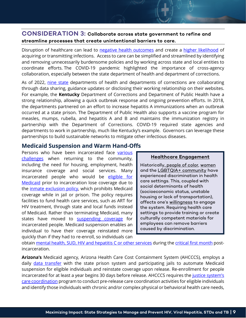# **CONSIDERATION 3: Collaborate across state government to refine and streamline processes that create unintentional barriers to care.**

Disruption of healthcare can lead to [negative health outcomes](https://www.admere.com/amr-blog/continuity-of-care-improving-patient-outcomes) and create a [higher likelihood](https://www.ncbi.nlm.nih.gov/books/NBK220038/) of acquiring or transmitting infections. Access to care can be simplified and streamlined by identifying and removing unnecessarily burdensome policies and by working across state and local entities to coordinate efforts. The COVID-19 pandemic highlighted the importance of cross-agency collaboration, especially between the state department of health and department of corrections.

As of 2022, [nine state](https://www.healthaffairs.org/do/10.1377/forefront.20220127.35520/) departments of health and departments of corrections are collaborating through data sharing, guidance updates or disclosing their working relationship on their websites. For example, the **Kentucky** Department of Corrections and Department of Public Health have a strong relationship, allowing a quick outbreak response and ongoing prevention efforts. In 2018, the departments partnered on an effort to increase hepatitis A immunizations when an outbreak occurred at a state prison. The Department of Public Health also supports a vaccine program for measles, mumps, rubella, and hepatitis A and B and maintains the immunization registry in partnership with the Department of Corrections. COVID-19 required state agencies and departments to work in partnership, much like Kentucky's example. Governors can leverage these partnerships to build sustainable networks to mitigate other infectious diseases.

# **Medicaid Suspension and Warm Hand-Offs**

Persons who have been incarcerated face [various](https://www.apa.org/pi/ses/resources/indicator/2018/03/prisons-to-communities)  [challenges](https://www.apa.org/pi/ses/resources/indicator/2018/03/prisons-to-communities) when returning to the community, including the need for housing, employment, health insurance coverage and social services. Many incarcerated people who would be eligible for [Medicaid](https://www.commonwealthfund.org/publications/issue-briefs/2020/nov/medicaid-role-health-people-involved-justice-system) prior to incarceration lose coverage due to the *inmate exclusion policy*, which prohibits Medicaid coverage while in jail or prison. The policy requires facilities to fund health care services, such as ART for HIV treatment, through state and local funds instead of Medicaid. Rather than terminating Medicaid, many states have moved to [suspending coverage](https://www.naco.org/sites/default/files/documents/2016-suspension-termination-Final-Citations.pdf) for incarcerated people. Medicaid suspension enables an individual to have their coverage reinstated more quickly than if they had to re-enroll, so individuals can

#### **Healthcare Engagement**

Historically, [people of color,](https://www.cdc.gov/coronavirus/2019-ncov/community/health-equity/race-ethnicity.html) [women](https://physicians.dukehealth.org/articles/recognizing-addressing-unintended-gender-bias-patient-care) and the [LGBTQIA+ community](https://www.hhs.gov/programs/topic-sites/lgbtq/accesstohealthcare/nondiscrimination/index.html) have experienced discrimination in health care settings. This, coupled with social determinants of health (socioeconomic status, unstable housing or lack of transportation), affects one's [willingness](https://healthandjusticejournal.biomedcentral.com/articles/10.1186/s40352-021-00141-x) to engage the system. Requiring health care settings to provide training or create [culturally competent materials](https://www.ncbi.nlm.nih.gov/books/NBK563176/) for employees can remove barriers caused by discrimination.

obtain [mental health, SUD, HIV and hepatitis C](https://iop.harvard.edu/sites/default/files/sources/program/IOP_Policy_Program_2019_Reentry_Policy.pdf) or other services during the [critical first month](https://www.urban.org/sites/default/files/publication/32056/411767-Release-Planning-for-Successful-Reentry.PDF) postincarceration.

**Arizona's** Medicaid agency, Arizona Health Care Cost Containment System (AHCCCS), employs a daily *[data transfer](https://www.urban.org/sites/default/files/publication/97041/strategies_for_connecting_justice-involved_populations_to_health_coverage_and_care.pdf)* with the state prison system and participating jails to automate Medicaid suspension for eligible individuals and reinstate coverage upon release. Re-enrollment for people incarcerated for at least a year begins 30 days before release. AHCCCS requires the justice system's [care coordination](https://www.azahcccs.gov/shared/Downloads/MedicalPolicyManual/1000/1022.pdf) program to conduct pre-release care coordination activities for eligible individuals and identify those individuals with chronic and/or complex physical or behavioral health care needs,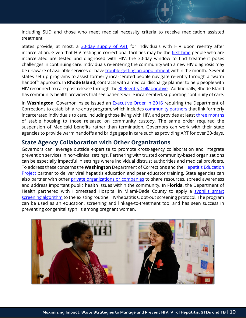including SUD and those who meet medical necessity criteria to receive medication assisted treatment.

States provide, at most, a [30-day supply of ART](https://www.hiv.uw.edu/go/key-populations/hiv-corrections/core-concept/all) for individuals with HIV upon reentry after incarceration. Given that HIV testing in correctional facilities may be the [first time](https://www.thebodypro.com/article/hiv-in-correctional-settings) people who are incarcerated are tested and diagnosed with HIV, the 30-day window to find treatment poses challenges in continuing care. Individuals re-entering the community with a new HIV diagnosis may be unaware of available services or have [trouble getting an appointment](https://www.hiv.uw.edu/go/key-populations/hiv-corrections/core-concept/all) within the month. Several states set up programs to assist formerly incarcerated people navigate re-entry through a "warm handoff" approach. In **Rhode Island**, contracts with a medical discharge planner to help people with HIV reconnect to care post release through th[e RI Reentry Collaborative.](https://healthandjustice.org/the-re-entry-collaborative/) Additionally, Rhode Island has community health providers that see patients while incarcerated, supporting continuity of care.

In **Washington**, Governor Inslee issued an [Executive Order in 2016](http://www.governor.wa.gov/sites/default/files/exe_order/eo_16-05.pdf) requiring the Department of Corrections to establish a re-entry program, which includes [community partners](https://www.thebodypro.com/article/re-entry-care-incarcerated-people-hiv) that link formerly incarcerated individuals to care, including those living with HIV, and provides at least [three months](https://doh.wa.gov/you-and-your-family/illness-and-disease-z/hiv/housing-opportunities-persons-aids-hopwa) of stable housing to those released on community custody. The same order required the suspension of Medicaid benefits rather than termination. Governors can work with their state agencies to provide warm handoffs and bridge gaps in care such as providing ART for over 30-days.

# **State Agency Collaboration with Other Organizations**

Governors can leverage outside expertise to promote cross-agency collaboration and integrate prevention services in non-clinical settings. Partnering with [trusted community-based organizations](https://www.nap.edu/resource/25467/Social_Care_CBOs_FINAL_05192020.pdf) can be especially impactful in settings where individual distrust authorities and medical providers. To address these concerns the **Washington** Department of Corrections and the [Hepatitis Education](https://hepeducation.org/programs/)  [Project](https://hepeducation.org/programs/) partner to deliver viral hepatitis education and peer educator training. State agencies can also partner with other [private organizations](https://iop.harvard.edu/sites/default/files/sources/program/IOP_Policy_Program_2019_HIV_AIDS_prevention_treatment_public_private_partnerships.pdf) or companies to share resources, spread awareness and address important public health issues within the community. In **Florida**, the Department of Health partnered with Homestead Hospital in Miami-Dade County to apply a syphilis smart [screening algorithm](https://pubmed.ncbi.nlm.nih.gov/32004258/) to the existing routine HIV/hepatitis C opt-out screening protocol. The program can be used as an education, screening and linkage-to-treatment tool and has seen success in preventing congenital syphilis among pregnant women.

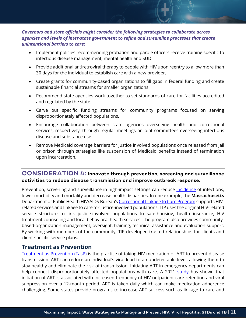### *Governors and state officials might consider the following strategies to collaborate across agencies and levels of inter-state government to refine and streamline processes that create unintentional barriers to care:*

- Implement policies recommending probation and parole officers receive training specific to infectious disease management, mental health and SUD.
- Provide additional antiretroviral therapy to people with HIV upon reentry to allow more than 30 days for the individual to establish care with a new provider.
- Create grants for community-based organizations to fill gaps in federal funding and create sustainable financial streams for smaller organizations.
- Recommend state agencies work together to set standards of care for facilities accredited and regulated by the state.
- Carve out specific funding streams for community programs focused on serving disproportionately affected populations.
- Encourage collaboration between state agencies overseeing health and correctional services, respectively, through regular meetings or joint committees overseeing infectious disease and substance use.
- Remove Medicaid coverage barriers for justice involved populations once released from jail or prison through strategies like suspension of Medicaid benefits instead of termination upon incarceration.

## **CONSIDERATION 4: Innovate through prevention, screening and surveillance activities to reduce disease transmission and improve outbreak response.**

Prevention, screening and surveillance in high-impact settings can reduce *[incidence](https://www.nga.org/wp-content/uploads/2021/09/NGA_EqAccess_TestTreat-HIV-VH-STD-TB.pdf)* of infections, lower morbidity and mortality and decrease health disparities. In one example, the **Massachusetts** Department of Public Health HIV/AIDS Bureau's [Correctional Linkage to Care Program](https://www.naco.org/sites/default/files/documents/2016-suspension-termination-Final-Citations.pdf) supports HIVrelated services and linkage to care for justice-involved populations. TIP uses the original HIV-related service structure to link justice-involved populations to safe-housing, health insurance, HIV treatment counseling and local behavioral health services. The program also provides communitybased-organization management, oversight, training, technical assistance and evaluation support. By working with members of the community, TIP developed trusted relationships for clients and client-specific service plans.

## **Treatment as Prevention**

[Treatment as Prevention \(TasP\)](https://www.hiv.gov/tasp) is the practice of taking HIV medication or ART to prevent disease transmission. ART can reduce an individual's viral load to an undetectable level, allowing them to stay healthy and eliminate the risk of transmission. Initiating ART in emergency departments can help connect disproportionately affected populations with care. A 2021 [study](https://academic.oup.com/cid/article/73/7/e1982/5860915) has shown that initiation of ART is associated with increased frequency of HIV outpatient care retention and viral suppression over a 12-month period. ART is taken daily which can make medication adherence challenging. Some states provide programs to increase ART success such as linkage to care and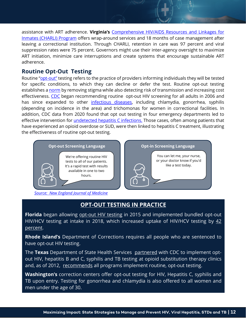assistance with ART adherence. **Virginia's** [Comprehensive HIV/AIDS Resources and Linkages for](https://www.vdh.virginia.gov/disease-prevention/charlii/)  [Inmates \(CHARLI\) Program](https://www.vdh.virginia.gov/disease-prevention/charlii/) offers wrap-around services and 18 months of case management after leaving a correctional institution. Through CHARLI, retention in care was 97 percent and viral suppression rates were 75 percent. Governors might use their inter-agency oversight to maximize ART initiation, minimize care interruptions and create systems that encourage sustainable ART adherence.

# **Routine Opt-Out Testing**

Routine ["opt-out"](https://www.cdc.gov/hiv/clinicians/screening/opt-out.html) testing refers to the practice of providers informing individuals they will be tested for specific conditions, to which they can decline or defer the test. Routine opt-out testing establishes a [norm](https://www.ncbi.nlm.nih.gov/pmc/articles/PMC2965185/) by removing stigma while also detecting risk of transmission and increasing cost effectiveness. [CDC](https://www.cdc.gov/mmwr/preview/mmwrhtml/rr5514a1.htm) began recommending routine opt-out HIV screening for all adults in 2006 and has since expanded to other [infectious diseases](https://www.cdc.gov/std/treatment-guidelines/STI-Guidelines-2021.pdf), including chlamydia, gonorrhea, syphilis (depending on incidence in the area) and trichomonas for women in correctional facilities. In addition, CDC data from 2020 found that opt out testing in four emergency departments led to effective intervention for [undetected](https://www.cdc.gov/mmwr/volumes/69/wr/mm6919a1.htm) hepatitis C infections. Those cases, often among patients that have experienced an opioid overdose or SUD, were then linked to hepatitis C treatment, illustrating the effectiveness of routine opt-out testing.



*[Source: New England Journal of Medicine](https://www.nejm.org/)*

# **OPT-OUT TESTING IN PRACTICE**

**Florida** began allowing [opt-out HIV testing](https://www.seaetc.com/routine-opt-out-hiv-testing-in-health-care-settings-now-standard/) in 2015 and implemented bundled opt-out HIV/HCV testing at intake in 2018, which increased uptake of HIV/HCV testing by [42](https://www.sciencedirect.com/science/article/pii/S0955395920302152)  [percent.](https://www.sciencedirect.com/science/article/pii/S0955395920302152)

**Rhode Island's** Department of Corrections requires all people who are sentenced to have opt-out HIV testing.

The **Texas** Department of State Health Services [partnered](https://www.cdc.gov/nchhstp/programintegration/successstories-tx/inf-disease-screening.html) with CDC to implement optout HIV, hepatitis B and C, syphilis and TB testing at opioid substitution therapy clinics and, as of 2012, [recommends](https://www.dshs.state.tx.us/hivstd/policy/policies/900-001.shtm) all programs implement routine, opt-out testing.

**Washington's** correction centers offer opt-out testing for HIV, Hepatitis C, syphilis and TB upon entry. Testing for gonorrhea and chlamydia is also offered to all women and men under the age of 30.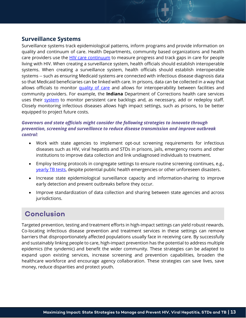# **Surveillance Systems**

Surveillance systems track epidemiological patterns, inform programs and provide information on quality and continuum of care. Health Departments, community based organizations and health care providers use the [HIV care continuum](https://www.hiv.gov/federal-response/policies-issues/hiv-aids-care-continuum) to measure progress and track gaps in care for people living with HIV. When creating a surveillance system, health officials should establish interoperable systems. When creating a surveillance system, health officials should establish interoperable systems -- such as ensuring Medicaid systems are connected with infectious disease diagnosis data so that Medicaid beneficiaries can be linked with care. In prisons, data can be collected in a way that allows officials to monitor [quality of care](https://www.pewtrusts.org/-/media/assets/2017/10/sfh_prison_health_care_costs_and_quality_final.pdf) and allows for interoperability between facilities and community providers. For example, the **Indiana** Department of Corrections health care services uses their [system](https://www.pewtrusts.org/-/media/assets/2017/10/sfh_prison_health_care_costs_and_quality_final.pdf) to monitor persistent care backlogs and, as necessary, add or redeploy staff. Closely monitoring infectious diseases allows high impact settings, such as prisons, to be better equipped to project future costs.

### *Governors and state officials might consider the following strategies to innovate through prevention, screening and surveillance to reduce disease transmission and improve outbreak control:*

- Work with state agencies to implement opt-out screening requirements for infectious diseases such as HIV, viral hepatitis and STDs in prisons, jails, emergency rooms and other institutions to improve data collection and link undiagnosed individuals to treatment.
- Employ testing protocols in congregate settings to ensure routine screening continues, e.g., [yearly TB tests,](https://www.cdc.gov/tb/topic/populations/correctional/default.htm) despite potential public health emergencies or other unforeseen disasters.
- Increase state epidemiological surveillance capacity and information-sharing to improve early detection and prevent outbreaks before they occur.
- Improve standardization of data collection and sharing between state agencies and across jurisdictions.

# **Conclusion**

Targeted prevention, testing and treatment efforts in high-impact settings can yield robust rewards. Co-locating infectious disease prevention and treatment services in these settings can remove barriers that disproportionately affected populations usually face in receiving care. By successfully and sustainably linking people to care, high-impact prevention has the potential to address multiple epidemics (the syndemic) and benefit the wider community. These strategies can be adapted to expand upon existing services, increase screening and prevention capabilities, broaden the healthcare workforce and encourage agency collaboration. These strategies can save lives, save money, reduce disparities and protect youth.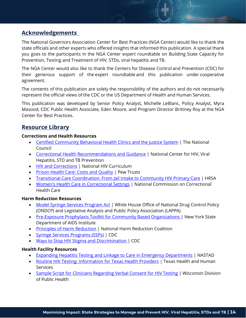# **Acknowledgements**

The National Governors Association Center for Best Practices (NGA Center) would like to thank the state officials and other experts who offered insights that informed this publication. A special thank you goes to the participants in the NGA Center expert roundtable on Building State Capacity for Prevention, Testing and Treatment of HIV, STDs, viral hepatitis and TB.

The NGA Center would also like to thank the Centers for Disease Control and Prevention (CDC) for their generous support of the expert roundtable and this publication under cooperative agreement.

The contents of this publication are solely the responsibility of the authors and do not necessarily represent the official views of the CDC or the US Department of Health and Human Services.  

This publication was developed by Senior Policy Analyst, Michelle LeBlanc, Policy Analyst, Myra Masood, CDC Public Health Associate, Eden Moore, and Program Director Brittney Roy at the NGA Center for Best Practices.

# **Resource Library**

#### **Corrections and Health Resources**

- [Certified Community Behavioral Health Clinics and the Justice System](https://www.thenationalcouncil.org/wp-content/uploads/2022/02/2021-CCBHC-and-Justice-Systems-Report.pdf) | The National Council
- [Correctional Health Recommendations and Guidance](https://www.cdc.gov/correctionalhealth/default.htm) | National Center for HIV, Viral Hepatitis, STD and TB Prevention
- [HIV and Corrections](https://www.hiv.uw.edu/go/key-populations/hiv-corrections/core-concept/all) | National HIV Curriculum
- [Prison Health Care: Costs and Quality](https://www.pewtrusts.org/-/media/assets/2017/10/sfh_prison_health_care_costs_and_quality_final.pdf) | Pew Trusts
- [Transitional Care Coordination: From Jail Intake to Community HIV Primary Care](https://targethiv.org/deii/deii-transitional-care) | HRSA
- [Women's Health Care in Correctional Settings](https://www.ncchc.org/womens-health-care) | National Commission on Correctional Health Care

#### **Harm Reduction Resources**

- [Model Syringe Services Program Act](https://legislativeanalysis.org/model-syringe-services-program-act/) | White House Office of National Drug Control Policy (ONDCP) and Legislative Analysis and Public Policy Association (LAPPA)
- [Pre-Exposure Prophylaxis Toolkit for Community Based Organizations](https://www.health.ny.gov/diseases/aids/general/prep/docs/prep_toolkit.pdf) | New York State Department of AIDS Institute
- [Principles of Harm Reduction](https://harmreduction.org/about-us/principles-of-harm-reduction/) | National Harm Reduction Coalition
- [Syringe Services Programs \(SSPs\)](https://www.cdc.gov/ssp/index.html) | CDC
- [Ways to Stop HIV Stigma and Discrimination](https://www.cdc.gov/stophivtogether/hiv-stigma/ways-to-stop.html) | CDC

#### **Health Facility Resources**

- [Expanding Hepatitis Testing and Linkage to Care in Emergency Departments](https://nastad.org/sites/default/files/2021-11/PDF-Slides-Expanding-Hep-Testing-and-Linkage-to-Care-in-EDs.pdf) | NASTAD
- [Routine HIV Testing: Information for Texas Health Providers](https://www.dshs.texas.gov/hivstd/info/edmat/4-236.pdf) | Texas Health and Human **Services**
- [Sample Script for Clinicians Regarding Verbal Consent for HIV Testing](https://www.dhs.wisconsin.gov/hiv/provider-sample-consent-script.pdf) | Wisconsin Division of Public Health